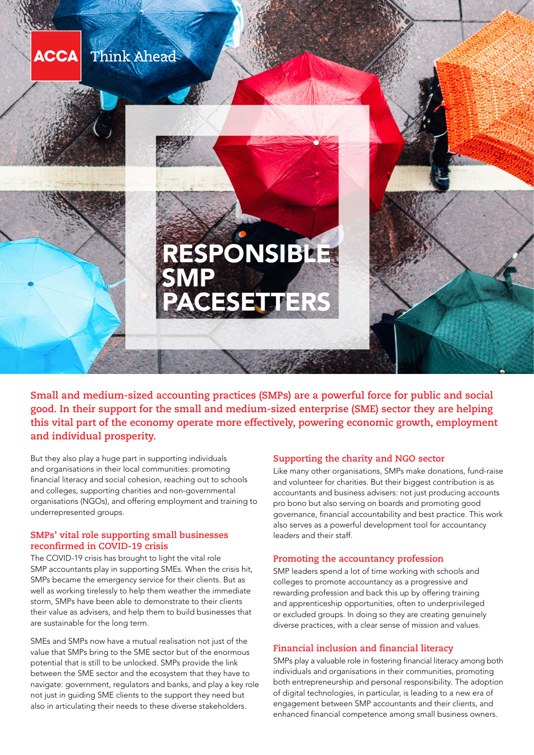

**Small and medium-sized accounting practices (SMPs) are a powerful force for public and social good. In their support for the small and medium-sized enterprise (SME) sector they are helping this vital part of the economy operate more effectively, powering economic growth, employment and individual prosperity.**

But they also play a huge part in supporting individuals and organisations in their local communities: promoting financial literacy and social cohesion, reaching out to schools and colleges, supporting charities and non-governmental organisations (NGOs), and offering employment and training to underrepresented groups.

## **SMPs' vital role supporting small businesses reconfirmed in COVID-19 crisis**

The COVID-19 crisis has brought to light the vital role SMP accountants play in supporting SMEs. When the crisis hit, SMPs became the emergency service for their clients. But as well as working tirelessly to help them weather the immediate storm, SMPs have been able to demonstrate to their clients their value as advisers, and help them to build businesses that are sustainable for the long term.

SMEs and SMPs now have a mutual realisation not just of the value that SMPs bring to the SME sector but of the enormous potential that is still to be unlocked. SMPs provide the link between the SME sector and the ecosystem that they have to navigate: government, regulators and banks, and play a key role not just in guiding SME clients to the support they need but also in articulating their needs to these diverse stakeholders.

### **Supporting the charity and NGO sector**

Like many other organisations, SMPs make donations, fund-raise and volunteer for charities. But their biggest contribution is as accountants and business advisers: not just producing accounts pro bono but also serving on boards and promoting good governance, financial accountability and best practice. This work also serves as a powerful development tool for accountancy leaders and their staff.

### **Promoting the accountancy profession**

SMP leaders spend a lot of time working with schools and colleges to promote accountancy as a progressive and rewarding profession and back this up by offering training and apprenticeship opportunities, often to underprivileged or excluded groups. In doing so they are creating genuinely diverse practices, with a clear sense of mission and values.

### **Financial inclusion and financial literacy**

SMPs play a valuable role in fostering financial literacy among both individuals and organisations in their communities, promoting both entrepreneurship and personal responsibility. The adoption of digital technologies, in particular, is leading to a new era of engagement between SMP accountants and their clients, and enhanced financial competence among small business owners.